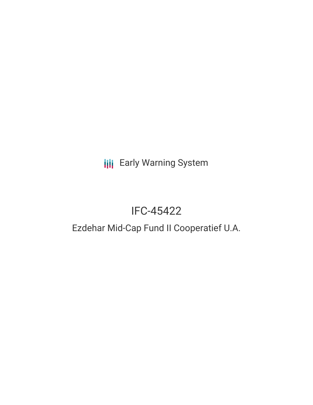**III** Early Warning System

# IFC-45422

## Ezdehar Mid-Cap Fund II Cooperatief U.A.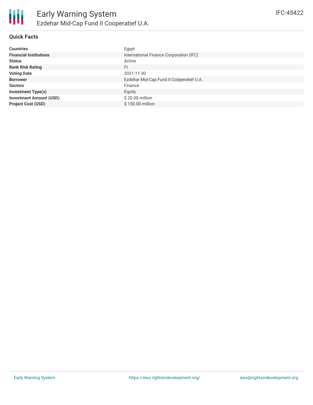

#### **Quick Facts**

| <b>Countries</b>               | Egypt                                    |
|--------------------------------|------------------------------------------|
| <b>Financial Institutions</b>  | International Finance Corporation (IFC)  |
| <b>Status</b>                  | Active                                   |
| <b>Bank Risk Rating</b>        | FI.                                      |
| <b>Voting Date</b>             | 2021-11-30                               |
| <b>Borrower</b>                | Ezdehar Mid-Cap Fund II Coöperatief U.A. |
| <b>Sectors</b>                 | Finance                                  |
| <b>Investment Type(s)</b>      | Equity                                   |
| <b>Investment Amount (USD)</b> | \$20.00 million                          |
| <b>Project Cost (USD)</b>      | \$150.00 million                         |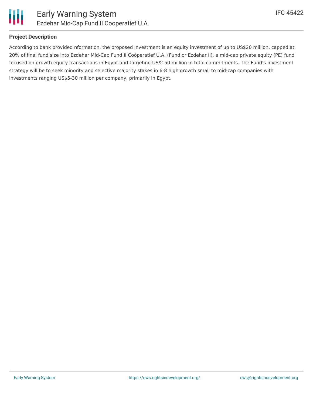

#### **Project Description**

According to bank provided nformation, the proposed investment is an equity investment of up to US\$20 million, capped at 20% of final fund size into Ezdehar Mid-Cap Fund II Coöperatief U.A. (Fund or Ezdehar II), a mid-cap private equity (PE) fund focused on growth equity transactions in Egypt and targeting US\$150 million in total commitments. The Fund's investment strategy will be to seek minority and selective majority stakes in 6-8 high growth small to mid-cap companies with investments ranging US\$5-30 million per company, primarily in Egypt.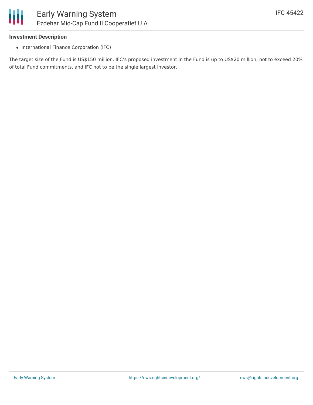

#### **Investment Description**

• International Finance Corporation (IFC)

The target size of the Fund is US\$150 million. IFC's proposed investment in the Fund is up to US\$20 million, not to exceed 20% of total Fund commitments, and IFC not to be the single largest investor.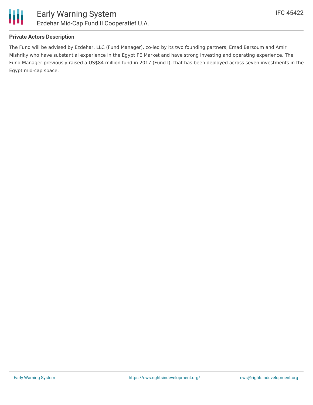

The Fund will be advised by Ezdehar, LLC (Fund Manager), co-led by its two founding partners, Emad Barsoum and Amir Mishriky who have substantial experience in the Egypt PE Market and have strong investing and operating experience. The Fund Manager previously raised a US\$84 million fund in 2017 (Fund I), that has been deployed across seven investments in the Egypt mid-cap space.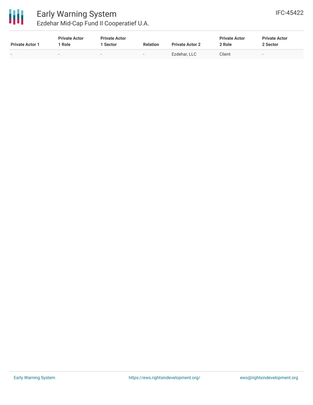

### Early Warning System Ezdehar Mid-Cap Fund II Cooperatief U.A.

| <b>Private Actor 1</b> | <b>Private Actor</b><br>Role | <b>Private Actor</b><br>1 Sector | <b>Relation</b>          | <b>Private Actor 2</b> | <b>Private Actor</b><br>2 Role | <b>Private Actor</b><br>2 Sector |  |
|------------------------|------------------------------|----------------------------------|--------------------------|------------------------|--------------------------------|----------------------------------|--|
|                        | $\overline{\phantom{0}}$     | $\overline{\phantom{a}}$         | $\overline{\phantom{0}}$ | Ezdehar, LLC           | Client                         | $\overline{\phantom{0}}$         |  |